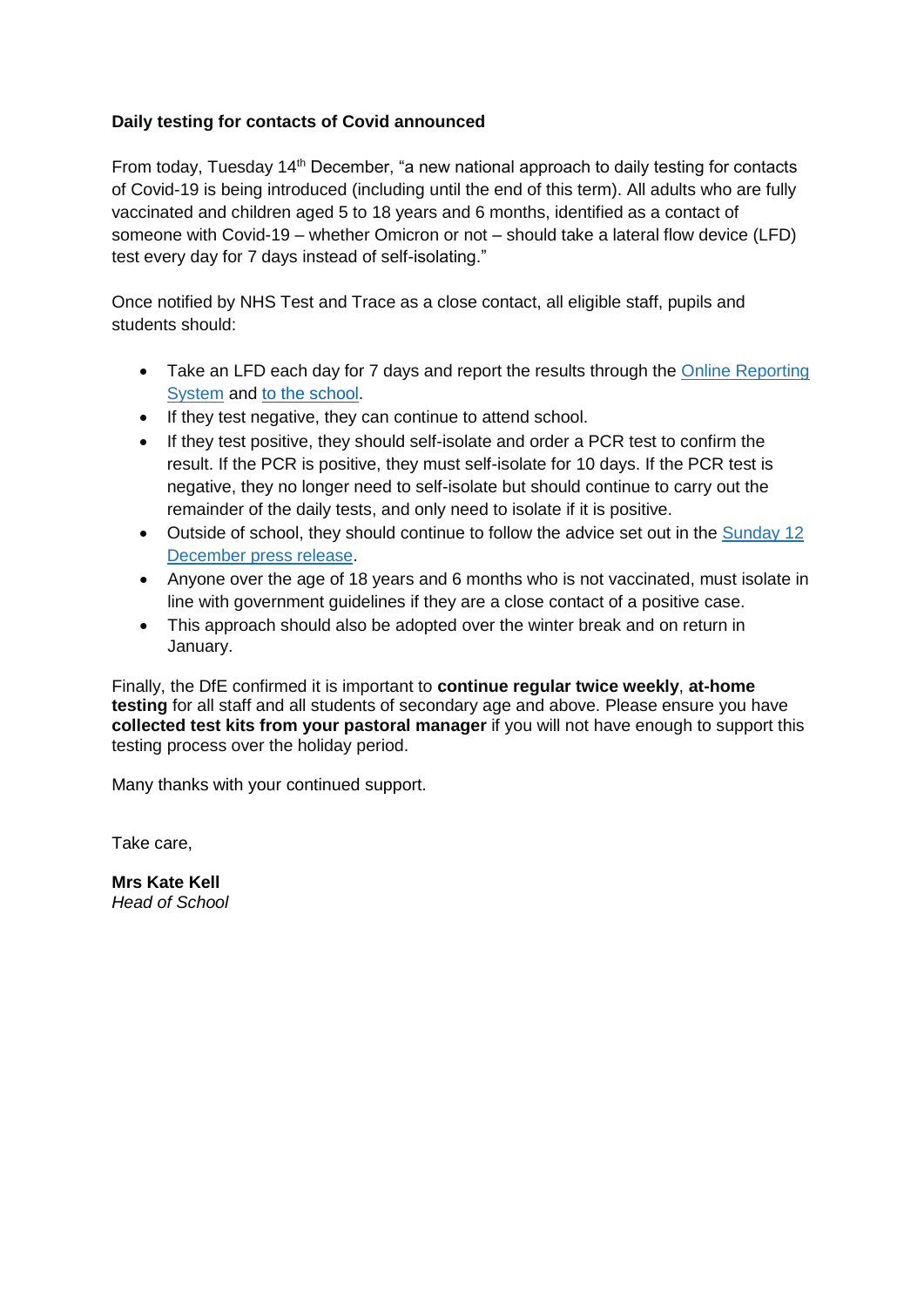## **Daily testing for contacts of Covid announced**

From today, Tuesday 14th December, "a new national approach to daily testing for contacts of Covid-19 is being introduced (including until the end of this term). All adults who are fully vaccinated and children aged 5 to 18 years and 6 months, identified as a contact of someone with Covid-19 – whether Omicron or not – should take a lateral flow device (LFD) test every day for 7 days instead of self-isolating."

Once notified by NHS Test and Trace as a close contact, all eligible staff, pupils and students should:

- Take an LFD each day for 7 days and report the results through the Online Reporting [System](https://www.gov.uk/report-covid19-result?utm_source=13%20December%202021%20C19&utm_medium=Daily%20Email%20C19&utm_campaign=DfE%20C19) and to the [school.](https://forms.gle/nfxNtTN63KaUNvzHA)
- If they test negative, they can continue to attend school.
- If they test positive, they should self-isolate and order a PCR test to confirm the result. If the PCR is positive, they must self-isolate for 10 days. If the PCR test is negative, they no longer need to self-isolate but should continue to carry out the remainder of the daily tests, and only need to isolate if it is positive.
- Outside of school, they should continue to follow the advice set out in the [Sunday 12](https://www.gov.uk/government/news/daily-rapid-testing-for-covid-19-contacts-launches-this-week?utm_source=13%20December%202021%20C19&utm_medium=Daily%20Email%20C19&utm_campaign=DfE%20C19)  [December press release.](https://www.gov.uk/government/news/daily-rapid-testing-for-covid-19-contacts-launches-this-week?utm_source=13%20December%202021%20C19&utm_medium=Daily%20Email%20C19&utm_campaign=DfE%20C19)
- Anyone over the age of 18 years and 6 months who is not vaccinated, must isolate in line with government guidelines if they are a close contact of a positive case.
- This approach should also be adopted over the winter break and on return in January.

Finally, the DfE confirmed it is important to **continue regular twice weekly**, **at-home testing** for all staff and all students of secondary age and above. Please ensure you have **collected test kits from your pastoral manager** if you will not have enough to support this testing process over the holiday period.

Many thanks with your continued support.

Take care,

**Mrs Kate Kell** *Head of School*